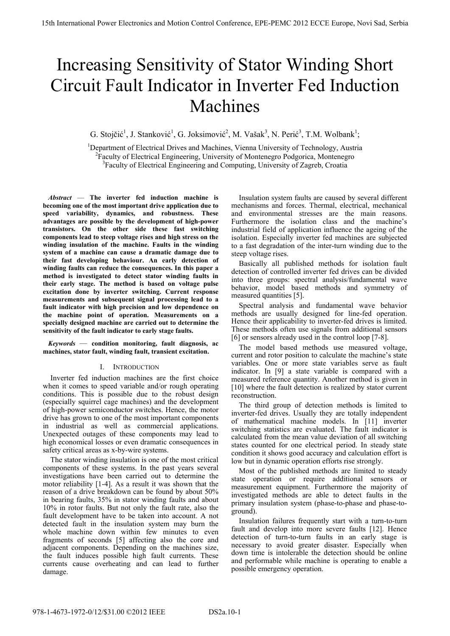# Increasing Sensitivity of Stator Winding Short Circuit Fault Indicator in Inverter Fed Induction Machines

G. Stojčić<sup>1</sup>, J. Stanković<sup>1</sup>, G. Joksimović<sup>2</sup>, M. Vašak<sup>3</sup>, N. Perić<sup>3</sup>, T.M. Wolbank<sup>1</sup>;

<sup>1</sup>Department of Electrical Drives and Machines, Vienna University of Technology, Austria <sup>2</sup>Eespity of Electrical Engineering, University of Montenegre Bedgering, Montenegre <sup>2</sup> Faculty of Electrical Engineering, University of Montenegro Podgorica, Montenegro <sup>3</sup>Faculty of Electrical Engineering and Computing, University of Zagreb, Croatia

*Abstract* — **The inverter fed induction machine is becoming one of the most important drive application due to speed variability, dynamics, and robustness. These advantages are possible by the development of high-power transistors. On the other side these fast switching components lead to steep voltage rises and high stress on the winding insulation of the machine. Faults in the winding system of a machine can cause a dramatic damage due to their fast developing behaviour. An early detection of winding faults can reduce the consequences. In this paper a method is investigated to detect stator winding faults in their early stage. The method is based on voltage pulse excitation done by inverter switching. Current response measurements and subsequent signal processing lead to a fault indicator with high precision and low dependence on the machine point of operation. Measurements on a specially designed machine are carried out to determine the sensitivity of the fault indicator to early stage faults.** 

*Keywords* — **condition monitoring, fault diagnosis, ac machines, stator fault, winding fault, transient excitation.**

# I. INTRODUCTION

Inverter fed induction machines are the first choice when it comes to speed variable and/or rough operating conditions. This is possible due to the robust design (especially squirrel cage machines) and the development of high-power semiconductor switches. Hence, the motor drive has grown to one of the most important components in industrial as well as commercial applications. Unexpected outages of these components may lead to high economical losses or even dramatic consequences in safety critical areas as x-by-wire systems.

The stator winding insulation is one of the most critical components of these systems. In the past years several investigations have been carried out to determine the motor reliability [1-4]. As a result it was shown that the reason of a drive breakdown can be found by about 50% in bearing faults, 35% in stator winding faults and about 10% in rotor faults. But not only the fault rate, also the fault development have to be taken into account. A not detected fault in the insulation system may burn the whole machine down within few minutes to even fragments of seconds [5] affecting also the core and adjacent components. Depending on the machines size, the fault induces possible high fault currents. These currents cause overheating and can lead to further damage.

Insulation system faults are caused by several different mechanisms and forces. Thermal, electrical, mechanical and environmental stresses are the main reasons. Furthermore the isolation class and the machine's industrial field of application influence the ageing of the isolation. Especially inverter fed machines are subjected to a fast degradation of the inter-turn winding due to the steep voltage rises.

Basically all published methods for isolation fault detection of controlled inverter fed drives can be divided into three groups: spectral analysis/fundamental wave behavior, model based methods and symmetry of measured quantities [5].

Spectral analysis and fundamental wave behavior methods are usually designed for line-fed operation. Hence their applicability to inverter-fed drives is limited. These methods often use signals from additional sensors [6] or sensors already used in the control loop [7-8].

The model based methods use measured voltage, current and rotor position to calculate the machine's state variables. One or more state variables serve as fault indicator. In [9] a state variable is compared with a measured reference quantity. Another method is given in [10] where the fault detection is realized by stator current reconstruction.

The third group of detection methods is limited to inverter-fed drives. Usually they are totally independent of mathematical machine models. In [11] inverter switching statistics are evaluated. The fault indicator is calculated from the mean value deviation of all switching states counted for one electrical period. In steady state condition it shows good accuracy and calculation effort is low but in dynamic operation efforts rise strongly.

Most of the published methods are limited to steady state operation or require additional sensors or measurement equipment. Furthermore the majority of investigated methods are able to detect faults in the primary insulation system (phase-to-phase and phase-toground).

Insulation failures frequently start with a turn-to-turn fault and develop into more severe faults [12]. Hence detection of turn-to-turn faults in an early stage is necessary to avoid greater disaster. Especially when down time is intolerable the detection should be online and performable while machine is operating to enable a possible emergency operation.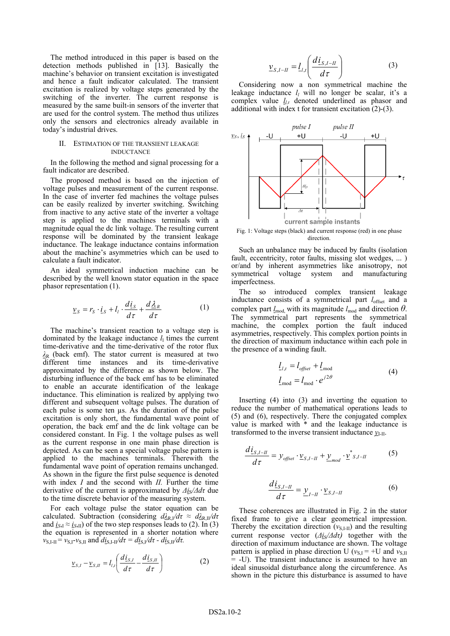The method introduced in this paper is based on the detection methods published in [13]. Basically the machine's behavior on transient excitation is investigated and hence a fault indicator calculated. The transient excitation is realized by voltage steps generated by the switching of the inverter. The current response is measured by the same built-in sensors of the inverter that are used for the control system. The method thus utilizes only the sensors and electronics already available in today's industrial drives.

# II. ESTIMATION OF THE TRANSIENT LEAKAGE INDUCTANCE

In the following the method and signal processing for a fault indicator are described.

The proposed method is based on the injection of voltage pulses and measurement of the current response. In the case of inverter fed machines the voltage pulses can be easily realized by inverter switching. Switching from inactive to any active state of the inverter a voltage step is applied to the machines terminals with a magnitude equal the dc link voltage. The resulting current response will be dominated by the transient leakage inductance. The leakage inductance contains information about the machine's asymmetries which can be used to calculate a fault indicator.

An ideal symmetrical induction machine can be described by the well known stator equation in the space phasor representation (1).

$$
\underline{v}_S = r_S \cdot \underline{i}_S + l_l \cdot \frac{di_S}{d\tau} + \frac{d\underline{\lambda}_R}{d\tau} \tag{1}
$$

The machine's transient reaction to a voltage step is dominated by the leakage inductance  $l_1$  times the current time-derivative and the time-derivative of the rotor flux  $\lambda_R$  (back emf). The stator current is measured at two different time instances and its time-derivative approximated by the difference as shown below. The disturbing influence of the back emf has to be eliminated to enable an accurate identification of the leakage inductance. This elimination is realized by applying two different and subsequent voltage pulses. The duration of each pulse is some ten µs. As the duration of the pulse excitation is only short, the fundamental wave point of operation, the back emf and the dc link voltage can be considered constant. In Fig. 1 the voltage pulses as well as the current response in one main phase direction is depicted. As can be seen a special voltage pulse pattern is applied to the machines terminals. Therewith the fundamental wave point of operation remains unchanged. As shown in the figure the first pulse sequence is denoted with index *I* and the second with *II*. Further the time derivative of the current is approximated by  $\Delta i_S/\Delta d\tau$  due to the time discrete behavior of the measuring system.

For each voltage pulse the stator equation can be calculated. Subtraction (considering  $d\lambda_R / d\tau \approx d\lambda_R / d\tau$ and  $i_{S,I} \approx i_{S,II}$ ) of the two step responses leads to (2). In (3) the equation is represented in a shorter notation where  $v_{\text{S,I-II}} = v_{\text{S,I}} - v_{\text{S,II}}$  and  $d\underline{i}_{\text{S,I-II}}/d\tau = d\underline{i}_{\text{S,I}}/d\tau - d\underline{i}_{\text{S,II}}/d\tau$ .

$$
\underline{v}_{S,I} - \underline{v}_{S,H} = l_{I,t} \left( \frac{d \underline{i}_{S,I}}{d \tau} - \frac{d \underline{i}_{S,H}}{d \tau} \right) \tag{2}
$$

$$
\underline{v}_{S,I-II} = \underline{l}_{I,t} \left( \frac{d \underline{i}_{S,I-II}}{d \tau} \right) \tag{3}
$$

Considering now a non symmetrical machine the leakage inductance  $l_i$  will no longer be scalar, it's a complex value  $l_{l,t}$  denoted underlined as phasor and additional with index t for transient excitation (2)-(3).



direction.

Such an unbalance may be induced by faults (isolation fault, eccentricity, rotor faults, missing slot wedges, ... ) or/and by inherent asymmetries like anisotropy, not symmetrical voltage system and manufacturing imperfectness.

The so introduced complex transient leakage inductance consists of a symmetrical part *l*<sub>offset</sub> and a complex part  $I_{\text{mod}}$ , with its magnitude  $I_{\text{mod}}$  and direction  $\theta$ . The symmetrical part represents the symmetrical machine, the complex portion the fault induced asymmetries, respectively. This complex portion points in the direction of maximum inductance within each pole in the presence of a winding fault.

$$
\underline{l}_{l,t} = l_{offset} + \underline{l}_{\text{mod}}
$$
\n
$$
\underline{l}_{\text{mod}} = l_{\text{mod}} \cdot e^{j2\theta}
$$
\n(4)

Inserting (4) into (3) and inverting the equation to reduce the number of mathematical operations leads to (5) and (6), respectively. There the conjugated complex value is marked with \* and the leakage inductance is transformed to the inverse transient inductance  $y_{I-II}$ .

$$
\frac{d\dot{\mathbf{z}}_{S,I-II}}{d\tau} = y_{offset} \cdot \underline{\mathbf{v}}_{S,I-II} + \underline{\mathbf{y}}_{mod} \cdot \underline{\mathbf{v}}^{*}_{S,I-II}
$$
(5)

$$
\frac{d\underline{i}_{S,I-II}}{d\tau} = \underline{y}_{I-II} \cdot \underline{v}_{S,I-II} \tag{6}
$$

These coherences are illustrated in Fig. 2 in the stator fixed frame to give a clear geometrical impression. Thereby the excitation direction  $(v_{S,I-II})$  and the resulting current response vector  $(\Delta i_S/\Delta d\tau)$  together with the direction of maximum inductance are shown. The voltage pattern is applied in phase direction U ( $v_{\text{S,I}}$  = +U and  $v_{\text{S,I}}$ = -U). The transient inductance is assumed to have an ideal sinusoidal disturbance along the circumference. As shown in the picture this disturbance is assumed to have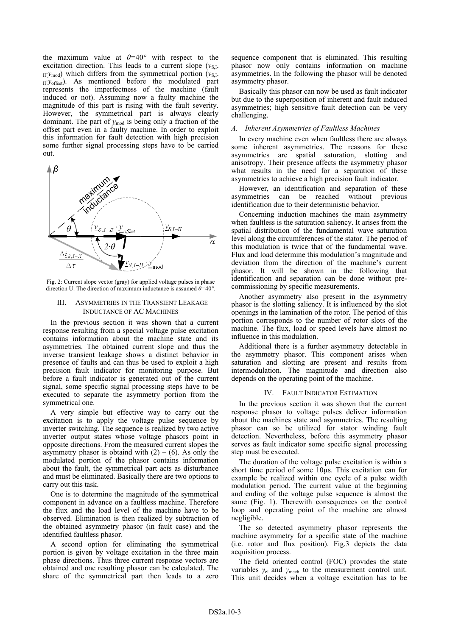the maximum value at  $\theta$ =40° with respect to the excitation direction. This leads to a current slope  $(v_{S,L})$  $I_{II}$ *'Y*<sub>mod</sub>) which differs from the symmetrical portion ( $v_{S,I}$ ). II<sup>*y*</sup><sub>*II<sup></sup></sub>y*<sub>offset</sub>). As mentioned before the modulated part</sub> represents the imperfectness of the machine (fault induced or not). Assuming now a faulty machine the magnitude of this part is rising with the fault severity. However, the symmetrical part is always clearly dominant. The part of  $y_{mod}$  is being only a fraction of the offset part even in a faulty machine. In order to exploit this information for fault detection with high precision some further signal processing steps have to be carried out.



Fig. 2: Current slope vector (gray) for applied voltage pulses in phase direction U. The direction of maximum inductance is assumed *θ=*40*°.*

## III. ASYMMETRIES IN THE TRANSIENT LEAKAGE INDUCTANCE OF AC MACHINES

In the previous section it was shown that a current response resulting from a special voltage pulse excitation contains information about the machine state and its asymmetries. The obtained current slope and thus the inverse transient leakage shows a distinct behavior in presence of faults and can thus be used to exploit a high precision fault indicator for monitoring purpose. But before a fault indicator is generated out of the current signal, some specific signal processing steps have to be executed to separate the asymmetry portion from the symmetrical one.

A very simple but effective way to carry out the excitation is to apply the voltage pulse sequence by inverter switching. The sequence is realized by two active inverter output states whose voltage phasors point in opposite directions. From the measured current slopes the asymmetry phasor is obtaind with  $(2) - (6)$ . As only the modulated portion of the phasor contains information about the fault, the symmetrical part acts as disturbance and must be eliminated. Basically there are two options to carry out this task.

One is to determine the magnitude of the symmetrical component in advance on a faultless machine. Therefore the flux and the load level of the machine have to be observed. Elimination is then realized by subtraction of the obtained asymmetry phasor (in fault case) and the identified faultless phasor.

A second option for eliminating the symmetrical portion is given by voltage excitation in the three main phase directions. Thus three current response vectors are obtained and one resulting phasor can be calculated. The share of the symmetrical part then leads to a zero

sequence component that is eliminated. This resulting phasor now only contains information on machine asymmetries. In the following the phasor will be denoted asymmetry phasor.

Basically this phasor can now be used as fault indicator but due to the superposition of inherent and fault induced asymmetries; high sensitive fault detection can be very challenging.

# *A. Inherent Asymmetries of Faultless Machines*

In every machine even when faultless there are always some inherent asymmetries. The reasons for these asymmetries are spatial saturation, slotting and anisotropy. Their presence affects the asymmetry phasor what results in the need for a separation of these asymmetries to achieve a high precision fault indicator.

However, an identification and separation of these asymmetries can be reached without previous identification due to their deterministic behavior.

Concerning induction machines the main asymmetry when faultless is the saturation saliency. It arises from the spatial distribution of the fundamental wave saturation level along the circumferences of the stator. The period of this modulation is twice that of the fundamental wave. Flux and load determine this modulation's magnitude and deviation from the direction of the machine's current phasor. It will be shown in the following that identification and separation can be done without precommissioning by specific measurements.

Another asymmetry also present in the asymmetry phasor is the slotting saliency. It is influenced by the slot openings in the lamination of the rotor. The period of this portion corresponds to the number of rotor slots of the machine. The flux, load or speed levels have almost no influence in this modulation.

Additional there is a further asymmetry detectable in the asymmetry phasor. This component arises when saturation and slotting are present and results from intermodulation. The magnitude and direction also depends on the operating point of the machine.

## IV. FAULT INDICATOR ESTIMATION

In the previous section it was shown that the current response phasor to voltage pulses deliver information about the machines state and asymmetries. The resulting phasor can so be utilized for stator winding fault detection. Nevertheless, before this asymmetry phasor serves as fault indicator some specific signal processing step must be executed.

The duration of the voltage pulse excitation is within a short time period of some 10µs. This excitation can for example be realized within one cycle of a pulse width modulation period. The current value at the beginning and ending of the voltage pulse sequence is almost the same (Fig. 1). Therewith consequences on the control loop and operating point of the machine are almost negligible.

The so detected asymmetry phasor represents the machine asymmetry for a specific state of the machine (i.e. rotor and flux position). Fig.3 depicts the data acquisition process.

The field oriented control (FOC) provides the state variables *γ*el and *γ*mech to the measurement control unit. This unit decides when a voltage excitation has to be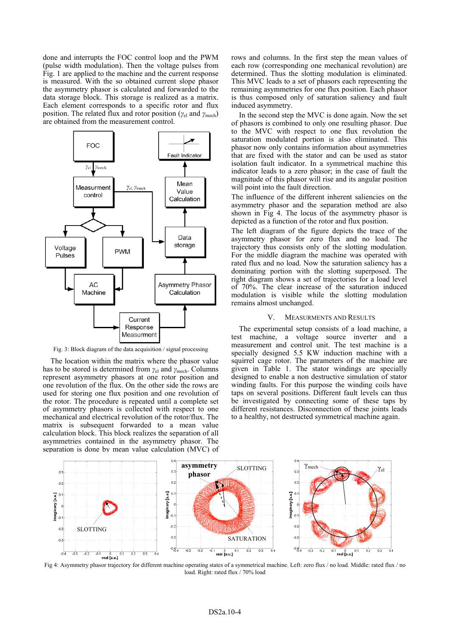done and interrupts the FOC control loop and the PWM (pulse width modulation). Then the voltage pulses from Fig. 1 are applied to the machine and the current response is measured. With the so obtained current slope phasor the asymmetry phasor is calculated and forwarded to the data storage block. This storage is realized as a matrix. Each element corresponds to a specific rotor and flux position. The related flux and rotor position (*γ*el and *γ*mech) are obtained from the measurement control.



Fig. 3: Block diagram of the data acquisition / signal processing

The location within the matrix where the phasor value has to be stored is determined from *γ*el and *γ*mech. Columns represent asymmetry phasors at one rotor position and one revolution of the flux. On the other side the rows are used for storing one flux position and one revolution of the rotor. The procedure is repeated until a complete set of asymmetry phasors is collected with respect to one mechanical and electrical revolution of the rotor/flux. The matrix is subsequent forwarded to a mean value calculation block. This block realizes the separation of all asymmetries contained in the asymmetry phasor. The separation is done by mean value calculation (MVC) of rows and columns. In the first step the mean values of each row (corresponding one mechanical revolution) are determined. Thus the slotting modulation is eliminated. This MVC leads to a set of phasors each representing the remaining asymmetries for one flux position. Each phasor is thus composed only of saturation saliency and fault induced asymmetry.

In the second step the MVC is done again. Now the set of phasors is combined to only one resulting phasor. Due to the MVC with respect to one flux revolution the saturation modulated portion is also eliminated. This phasor now only contains information about asymmetries that are fixed with the stator and can be used as stator isolation fault indicator. In a symmetrical machine this indicator leads to a zero phasor; in the case of fault the magnitude of this phasor will rise and its angular position will point into the fault direction.

The influence of the different inherent saliencies on the asymmetry phasor and the separation method are also shown in Fig 4. The locus of the asymmetry phasor is depicted as a function of the rotor and flux position.

The left diagram of the figure depicts the trace of the asymmetry phasor for zero flux and no load. The trajectory thus consists only of the slotting modulation. For the middle diagram the machine was operated with rated flux and no load. Now the saturation saliency has a dominating portion with the slotting superposed. The right diagram shows a set of trajectories for a load level of 70%. The clear increase of the saturation induced modulation is visible while the slotting modulation remains almost unchanged.

#### V. MEASURMENTS AND RESULTS

The experimental setup consists of a load machine, a test machine, a voltage source inverter and a measurement and control unit. The test machine is a specially designed 5.5 KW induction machine with a squirrel cage rotor. The parameters of the machine are given in Table 1. The stator windings are specially designed to enable a non destructive simulation of stator winding faults. For this purpose the winding coils have taps on several positions. Different fault levels can thus be investigated by connecting some of these taps by different resistances. Disconnection of these joints leads to a healthy, not destructed symmetrical machine again.



Fig 4: Asymmetry phasor trajectory for different machine operating states of a symmetrical machine. Left: zero flux / no load. Middle: rated flux / no load. Right: rated flux / 70% load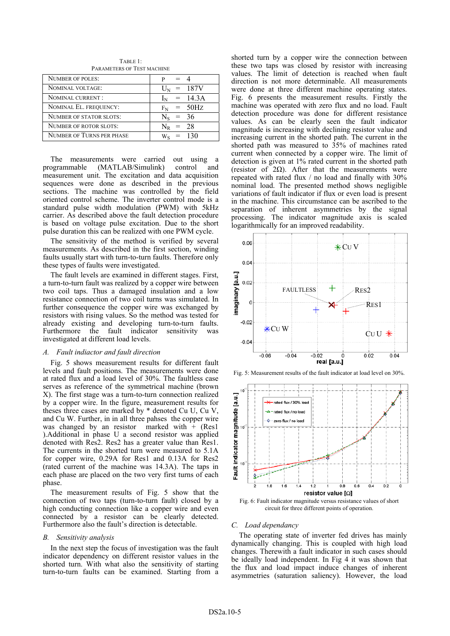TABLE 1: PARAMETERS OF TEST MACHINE

| <b>NUMBER OF POLES:</b>          | $= 4$<br>P.      |
|----------------------------------|------------------|
| <b>NOMINAL VOLTAGE:</b>          | $U_{N} = 187V$   |
| NOMINAL CURRENT:                 | $I_{N}$ = 14.3A  |
| NOMINAL EL. FREQUENCY:           | $F_N = 50 Hz$    |
| NUMBER OF STATOR SLOTS:          | $N_s = 36$       |
| <b>NUMBER OF ROTOR SLOTS:</b>    | $N_{\rm R}$ = 28 |
| <b>NUMBER OF TURNS PER PHASE</b> | 130<br>$=$       |

The measurements were carried out using a programmable (MATLAB/Simulink) control and measurement unit. The excitation and data acquisition sequences were done as described in the previous sections. The machine was controlled by the field oriented control scheme. The inverter control mode is a standard pulse width modulation (PWM) with 5kHz carrier. As described above the fault detection procedure is based on voltage pulse excitation. Due to the short pulse duration this can be realized with one PWM cycle.

The sensitivity of the method is verified by several measurements. As described in the first section, winding faults usually start with turn-to-turn faults. Therefore only these types of faults were investigated.

The fault levels are examined in different stages. First, a turn-to-turn fault was realized by a copper wire between two coil taps. Thus a damaged insulation and a low resistance connection of two coil turns was simulated. In further consequence the copper wire was exchanged by resistors with rising values. So the method was tested for already existing and developing turn-to-turn faults. Furthermore the fault indicator sensitivity was investigated at different load levels.

# *A. Fault indiactor and fault direction*

Fig. 5 shows measurement results for different fault levels and fault positions. The measurements were done at rated flux and a load level of 30%. The faultless case serves as reference of the symmetrical machine (brown X). The first stage was a turn-to-turn connection realized by a copper wire. In the figure, measurement results for theses three cases are marked by \* denoted Cu U, Cu V, and Cu W. Further, in in all three pahses the copper wire was changed by an resistor marked with  $+$  (Res1) ).Additional in phase U a second resistor was applied denoted with Res2. Res2 has a greater value than Res1. The currents in the shorted turn were measured to 5.1A for copper wire, 0.29A for Res1 and 0.13A for Res2 (rated current of the machine was 14.3A). The taps in each phase are placed on the two very first turns of each phase.

The measurement results of Fig. 5 show that the connection of two taps (turn-to-turn fault) closed by a high conducting connection like a copper wire and even connected by a resistor can be clearly detected. Furthermore also the fault's direction is detectable.

#### *B. Sensitivity analysis*

In the next step the focus of investigation was the fault indicator dependency on different resistor values in the shorted turn. With what also the sensitivity of starting turn-to-turn faults can be examined. Starting from a

shorted turn by a copper wire the connection between these two taps was closed by resistor with increasing values. The limit of detection is reached when fault direction is not more determinable. All measurements were done at three different machine operating states. Fig. 6 presents the measurement results. Firstly the machine was operated with zero flux and no load. Fault detection procedure was done for different resistance values. As can be clearly seen the fault indicator magnitude is increasing with declining resistor value and increasing current in the shorted path. The current in the shorted path was measured to 35% of machines rated current when connected by a copper wire. The limit of detection is given at 1% rated current in the shorted path (resistor of  $2\Omega$ ). After that the measurements were repeated with rated flux / no load and finally with 30% nominal load. The presented method shows negligible variations of fault indicator if flux or even load is present in the machine. This circumstance can be ascribed to the separation of inherent asymmetries by the signal processing. The indicator magnitude axis is scaled logarithmically for an improved readability.



Fig. 5: Measurement results of the fault indicator at load level on 30%.



Fig. 6: Fault indicator magnitude versus resistance values of short circuit for three different points of operation.

# *C. Load dependancy*

The operating state of inverter fed drives has mainly dynamically changing. This is coupled with high load changes. Therewith a fault indicator in such cases should be ideally load independent. In Fig 4 it was shown that the flux and load impact induce changes of inherent asymmetries (saturation saliency). However, the load